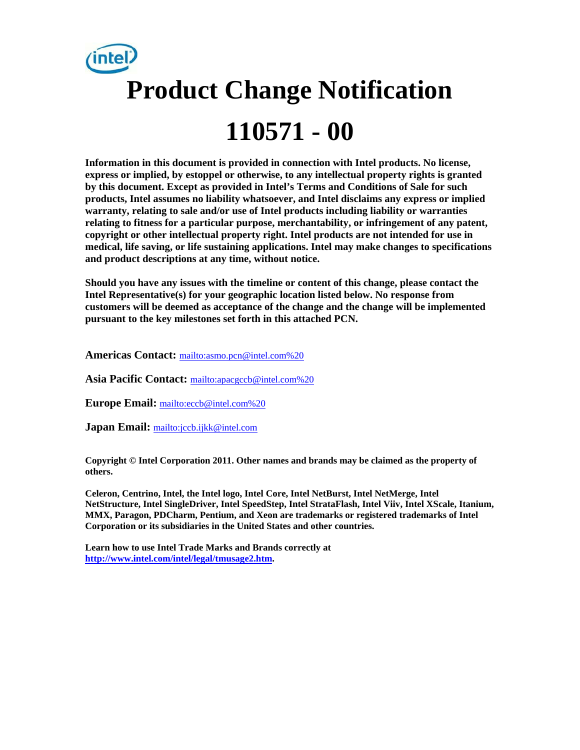

**Information in this document is provided in connection with Intel products. No license, express or implied, by estoppel or otherwise, to any intellectual property rights is granted by this document. Except as provided in Intel's Terms and Conditions of Sale for such products, Intel assumes no liability whatsoever, and Intel disclaims any express or implied warranty, relating to sale and/or use of Intel products including liability or warranties relating to fitness for a particular purpose, merchantability, or infringement of any patent, copyright or other intellectual property right. Intel products are not intended for use in medical, life saving, or life sustaining applications. Intel may make changes to specifications and product descriptions at any time, without notice.** 

**Should you have any issues with the timeline or content of this change, please contact the Intel Representative(s) for your geographic location listed below. No response from customers will be deemed as acceptance of the change and the change will be implemented pursuant to the key milestones set forth in this attached PCN.** 

**Americas Contact:** [mailto:asmo.pcn@intel.com%20](mailto:asmo.pcn@intel.com)

**Asia Pacific Contact:** [mailto:apacgccb@intel.com%20](mailto:apacgccb@intel.com)

**Europe Email:** [mailto:eccb@intel.com%20](mailto:eccb@intel.com)

**Japan Email:** <mailto:jccb.ijkk@intel.com>

**Copyright © Intel Corporation 2011. Other names and brands may be claimed as the property of others.**

**Celeron, Centrino, Intel, the Intel logo, Intel Core, Intel NetBurst, Intel NetMerge, Intel NetStructure, Intel SingleDriver, Intel SpeedStep, Intel StrataFlash, Intel Viiv, Intel XScale, Itanium, MMX, Paragon, PDCharm, Pentium, and Xeon are trademarks or registered trademarks of Intel Corporation or its subsidiaries in the United States and other countries.** 

**Learn how to use Intel Trade Marks and Brands correctly at [http://www.intel.com/intel/legal/tmusage2.htm.](http://www.intel.com/intel/legal/tmusage2.htm)**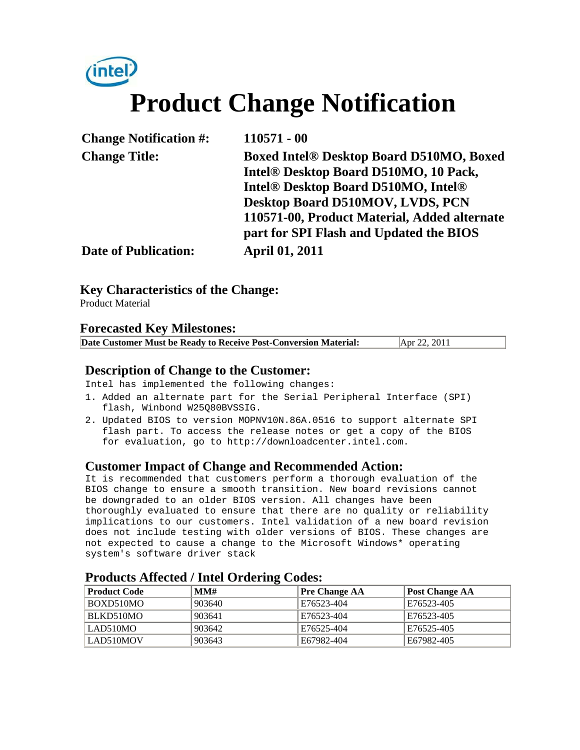# (intel) **Product Change Notification**

| <b>Change Notification #:</b> | $110571 - 00$                                               |
|-------------------------------|-------------------------------------------------------------|
| <b>Change Title:</b>          | <b>Boxed Intel® Desktop Board D510MO, Boxed</b>             |
|                               | Intel® Desktop Board D510MO, 10 Pack,                       |
|                               | Intel <sup>®</sup> Desktop Board D510MO, Intel <sup>®</sup> |
|                               | Desktop Board D510MOV, LVDS, PCN                            |
|                               | 110571-00, Product Material, Added alternate                |
|                               | part for SPI Flash and Updated the BIOS                     |
| <b>Date of Publication:</b>   | <b>April 01, 2011</b>                                       |

### **Key Characteristics of the Change:**

Product Material

#### **Forecasted Key Milestones:**

| Date Customer Must be Ready to Receive Post-Conversion Material: | Apr 22, 2011 |
|------------------------------------------------------------------|--------------|
|------------------------------------------------------------------|--------------|

#### **Description of Change to the Customer:**

Intel has implemented the following changes:

- 1. Added an alternate part for the Serial Peripheral Interface (SPI) flash, Winbond W25Q80BVSSIG.
- 2. Updated BIOS to version MOPNV10N.86A.0516 to support alternate SPI flash part. To access the release notes or get a copy of the BIOS for evaluation, go to http://downloadcenter.intel.com.

#### **Customer Impact of Change and Recommended Action:**

It is recommended that customers perform a thorough evaluation of the BIOS change to ensure a smooth transition. New board revisions cannot be downgraded to an older BIOS version. All changes have been thoroughly evaluated to ensure that there are no quality or reliability implications to our customers. Intel validation of a new board revision does not include testing with older versions of BIOS. These changes are not expected to cause a change to the Microsoft Windows\* operating system's software driver stack

| <b>Product Code</b> | MMH    | <b>Pre Change AA</b> | <b>Post Change AA</b> |
|---------------------|--------|----------------------|-----------------------|
| BOXD510MO           | 903640 | E76523-404           | E76523-405            |
| BLKD510MO           | 903641 | E76523-404           | E76523-405            |
| LAD510MO            | 903642 | E76525-404           | E76525-405            |
| LAD510MOV           | 903643 | E67982-404           | E67982-405            |

#### **Products Affected / Intel Ordering Codes:**